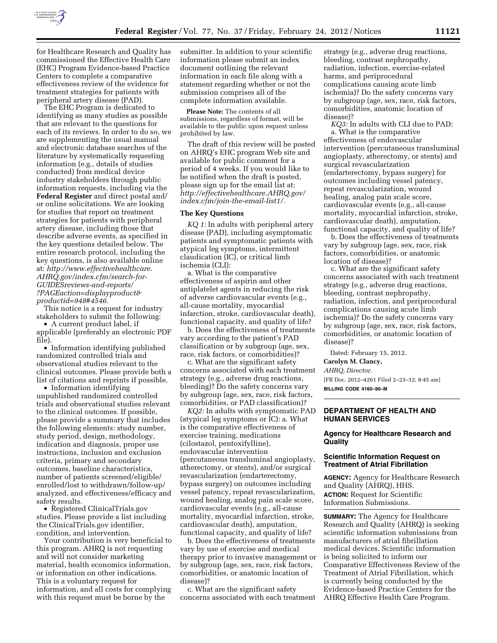

for Healthcare Research and Quality has commissioned the Effective Health Care (EHC) Program Evidence-based Practice Centers to complete a comparative effectiveness review of the evidence for treatment strategies for patients with peripheral artery disease (PAD).

The EHC Program is dedicated to identifying as many studies as possible that are relevant to the questions for each of its reviews. In order to do so, we are supplementing the usual manual and electronic database searches of the literature by systematically requesting information (e.g., details of studies conducted) from medical device industry stakeholders through public information requests, including via the **Federal Register** and direct postal and/ or online solicitations. We are looking for studies that report on treatment strategies for patients with peripheral artery disease, including those that describe adverse events, as specified in the key questions detailed below. The entire research protocol, including the key questions, is also available online at: *[http://www.effectivehealthcare.](http://www.effectivehealthcare.AHRQ.gov/index.cfm/search-for-GUIDESreviews-and-reports/?PAGEaction=displayproduct&productid=948#4546)  [AHRQ.gov/index.cfm/search-for-](http://www.effectivehealthcare.AHRQ.gov/index.cfm/search-for-GUIDESreviews-and-reports/?PAGEaction=displayproduct&productid=948#4546)[GUIDESreviews-and-reports/](http://www.effectivehealthcare.AHRQ.gov/index.cfm/search-for-GUIDESreviews-and-reports/?PAGEaction=displayproduct&productid=948#4546) [?PAGEaction=displayproduct&](http://www.effectivehealthcare.AHRQ.gov/index.cfm/search-for-GUIDESreviews-and-reports/?PAGEaction=displayproduct&productid=948#4546) [productid=948#4546.](http://www.effectivehealthcare.AHRQ.gov/index.cfm/search-for-GUIDESreviews-and-reports/?PAGEaction=displayproduct&productid=948#4546)* 

This notice is a request for industry stakeholders to submit the following:

• A current product label, if applicable (preferably an electronic PDF file).

• Information identifying published randomized controlled trials and observational studies relevant to the clinical outcomes. Please provide both a list of citations and reprints if possible.

• Information identifying unpublished randomized controlled trials and observational studies relevant to the clinical outcomes. If possible, please provide a summary that includes the following elements: study number, study period, design, methodology, indication and diagnosis, proper use instructions, inclusion and exclusion criteria, primary and secondary outcomes, baseline characteristics, number of patients screened/eligible/ enrolled/lost to withdrawn/follow-up/ analyzed, and effectiveness/efficacy and safety results.

• Registered ClinicalTrials.gov studies. Please provide a list including the ClinicalTrials.gov identifier, condition, and intervention.

Your contribution is very beneficial to this program. AHRQ is not requesting and will not consider marketing material, health economics information, or information on other indications. This is a voluntary request for information, and all costs for complying with this request must be borne by the

submitter. In addition to your scientific information please submit an index document outlining the relevant information in each file along with a statement regarding whether or not the submission comprises all of the complete information available.

**Please Note:** The contents of all submissions, regardless of format, will be available to the public upon request unless prohibited by law.

The draft of this review will be posted on AHRQ's EHC program Web site and available for public comment for a period of 4 weeks. If you would like to be notified when the draft is posted, please sign up for the email list at: *[http://effectivehealthcare.AHRQ.gov/](http://effectivehealthcare.AHRQ.gov/index.cfm/join-the-email-list1/) [index.cfm/join-the-email-list1/.](http://effectivehealthcare.AHRQ.gov/index.cfm/join-the-email-list1/)* 

#### **The Key Questions**

*KQ 1:* In adults with peripheral artery disease (PAD), including asymptomatic patients and symptomatic patients with atypical leg symptoms, intermittent claudication (IC), or critical limb ischemia (CLI):

a. What is the comparative effectiveness of aspirin and other antiplatelet agents in reducing the risk of adverse cardiovascular events (e.g., all-cause mortality, myocardial infarction, stroke, cardiovascular death), functional capacity, and quality of life?

b. Does the effectiveness of treatments vary according to the patient's PAD classification or by subgroup (age, sex, race, risk factors, or comorbidities)?

c. What are the significant safety concerns associated with each treatment strategy (e.g., adverse drug reactions, bleeding)? Do the safety concerns vary by subgroup (age, sex, race, risk factors, comorbidities, or PAD classification)?

*KQ2:* In adults with symptomatic PAD (atypical leg symptoms or IC): a. What is the comparative effectiveness of exercise training, medications (cilostazol, pentoxifylline), endovascular intervention (percutaneous transluminal angioplasty, atherectomy, or stents), and/or surgical revascularization (endarterectomy, bypass surgery) on outcomes including vessel patency, repeat revascularization, wound healing, analog pain scale score, cardiovascular events (e.g., all-cause mortality, myocardial infarction, stroke, cardiovascular death), amputation, functional capacity, and quality of life?

b. Does the effectiveness of treatments vary by use of exercise and medical therapy prior to invasive management or by subgroup (age, sex, race, risk factors, comorbidities, or anatomic location of disease)?

c. What are the significant safety concerns associated with each treatment strategy (e.g., adverse drug reactions, bleeding, contrast nephropathy, radiation, infection, exercise-related harms, and periprocedural complications causing acute limb ischemia)? Do the safety concerns vary by subgroup (age, sex, race, risk factors, comorbidities, anatomic location of disease)?

*KQ3:* In adults with CLI due to PAD: a. What is the comparative effectiveness of endovascular intervention (percutaneous transluminal angioplasty, atherectomy, or stents) and surgical revascularization (endarterectomy, bypass surgery) for outcomes including vessel patency, repeat revascularization, wound healing, analog pain scale score, cardiovascular events (e.g., all-cause mortality, myocardial infarction, stroke, cardiovascular death), amputation, functional capacity, and quality of life?

b. Does the effectiveness of treatments vary by subgroup (age, sex, race, risk factors, comorbidities, or anatomic location of disease)?

c. What are the significant safety concerns associated with each treatment strategy (e.g., adverse drug reactions, bleeding, contrast nephropathy, radiation, infection, and periprocedural complications causing acute limb ischemia)? Do the safety concerns vary by subgroup (age, sex, race, risk factors, comorbidities, or anatomic location of disease)?

Dated: February 15, 2012.

**Carolyn M. Clancy,** 

*AHRQ, Director.* 

[FR Doc. 2012–4261 Filed 2–23–12; 8:45 am] **BILLING CODE 4160–90–M** 

# **DEPARTMENT OF HEALTH AND HUMAN SERVICES**

# **Agency for Healthcare Research and Quality**

## **Scientific Information Request on Treatment of Atrial Fibrillation**

**AGENCY:** Agency for Healthcare Research and Quality (AHRQ), HHS. **ACTION:** Request for Scientific Information Submissions.

**SUMMARY:** The Agency for Healthcare Research and Quality (AHRQ) is seeking scientific information submissions from manufacturers of atrial fibrillation medical devices. Scientific information is being solicited to inform our Comparative Effectiveness Review of the Treatment of Atrial Fibrillation, which is currently being conducted by the Evidence-based Practice Centers for the AHRQ Effective Health Care Program.